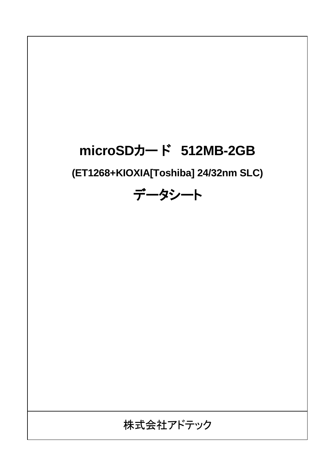# **microSD**カー ド **512MB-2GB**

**(ET1268+KIOXIA[Toshiba] 24/32nm SLC)**

データシート

## 株式会社アドテック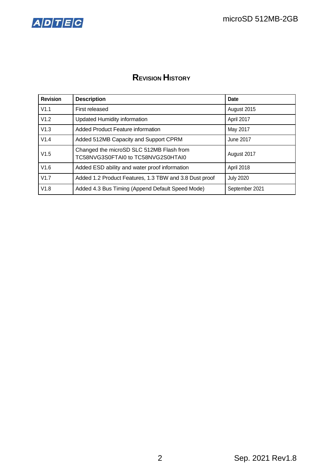

## **REVISION HISTORY**

| <b>Revision</b> | <b>Description</b>                                                             | Date             |
|-----------------|--------------------------------------------------------------------------------|------------------|
| V1.1            | First released                                                                 | August 2015      |
| V1.2            | <b>Updated Humidity information</b>                                            | April 2017       |
| V1.3            | Added Product Feature information                                              | May 2017         |
| V1.4            | Added 512MB Capacity and Support CPRM                                          | June 2017        |
| V1.5            | Changed the microSD SLC 512MB Flash from<br>TC58NVG3S0FTAI0 to TC58NVG2S0HTAI0 | August 2017      |
| V1.6            | Added ESD ability and water proof information                                  | April 2018       |
| V1.7            | Added 1.2 Product Features, 1.3 TBW and 3.8 Dust proof                         | <b>July 2020</b> |
| V1.8            | Added 4.3 Bus Timing (Append Default Speed Mode)                               | September 2021   |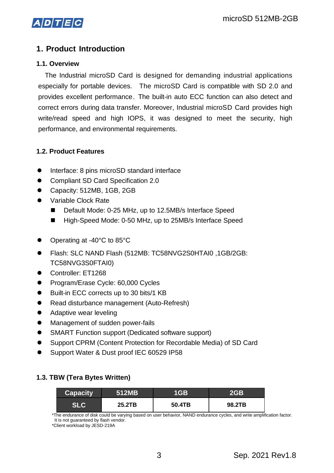

## **1. Product Introduction**

#### **1.1. Overview**

The Industrial microSD Card is designed for demanding industrial applications especially for portable devices. The microSD Card is compatible with SD 2.0 and provides excellent performance. The built-in auto ECC function can also detect and correct errors during data transfer. Moreover, Industrial microSD Card provides high write/read speed and high IOPS, it was designed to meet the security, high performance, and environmental requirements.

#### **1.2. Product Features**

- Interface: 8 pins microSD standard interface
- ⚫ Compliant SD Card Specification 2.0
- ⚫ Capacity: 512MB, 1GB, 2GB
- ⚫ Variable Clock Rate
	- Default Mode: 0-25 MHz, up to 12.5MB/s Interface Speed
	- High-Speed Mode: 0-50 MHz, up to 25MB/s Interface Speed
- ⚫ Operating at -40°C to 85°C
- ⚫ Flash: SLC NAND Flash (512MB: TC58NVG2S0HTAI0 ,1GB/2GB: TC58NVG3S0FTAI0)
- ⚫ Controller: ET1268
- ⚫ Program/Erase Cycle: 60,000 Cycles
- ⚫ Built-in ECC corrects up to 30 bits/1 KB
- ⚫ Read disturbance management (Auto-Refresh)
- Adaptive wear leveling
- ⚫ Management of sudden power-fails
- ⚫ SMART Function support (Dedicated software support)
- Support CPRM (Content Protection for Recordable Media) of SD Card
- ⚫ Support Water & Dust proof IEC 60529 IP58

#### **1.3. TBW (Tera Bytes Written)**

| <b>Capacity</b> | 1512MB | 1GB    | 2GB    |
|-----------------|--------|--------|--------|
|                 | 25.2TB | 50.4TB | 98.2TB |

\*The endurance of disk could be varying based on user behavior, NAND endurance cycles, and write amplification factor. It is not guaranteed by flash vendor.

\*Client workload by JESD-219A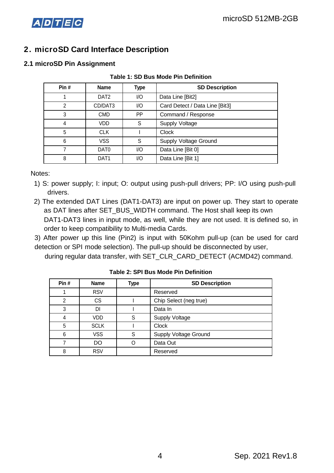

## **2. microSD Card Interface Description**

#### **2.1 microSD Pin Assignment**

| Pin#           | <b>Name</b>      | <b>Type</b> | <b>SD Description</b>          |  |  |
|----------------|------------------|-------------|--------------------------------|--|--|
|                | DAT <sub>2</sub> | I/O         | Data Line [Bit2]               |  |  |
| $\overline{2}$ | CD/DAT3          | I/O         | Card Detect / Data Line [Bit3] |  |  |
| 3              | <b>CMD</b>       | PP          | Command / Response             |  |  |
| 4              | VDD              | S           | Supply Voltage                 |  |  |
| 5              | <b>CLK</b>       |             | <b>Clock</b>                   |  |  |
| 6              | VSS              | S           | Supply Voltage Ground          |  |  |
| 7              | DAT <sub>0</sub> | I/O         | Data Line [Bit 0]              |  |  |
| 8              | DAT <sub>1</sub> | I/O         | Data Line [Bit 1]              |  |  |

#### **Table 1: SD Bus Mode Pin Definition**

Notes:

- 1) S: power supply; I: input; O: output using push-pull drivers; PP: I/O using push-pull drivers.
- 2) The extended DAT Lines (DAT1-DAT3) are input on power up. They start to operate as DAT lines after SET\_BUS\_WIDTH command. The Host shall keep its own DAT1-DAT3 lines in input mode, as well, while they are not used. It is defined so, in order to keep compatibility to Multi-media Cards.

3) After power up this line (Pin2) is input with 50Kohm pull-up (can be used for card detection or SPI mode selection). The pull-up should be disconnected by user,

during regular data transfer, with SET CLR CARD DETECT (ACMD42) command.

| Pin# | <b>Name</b> | Type | <b>SD Description</b>        |  |  |
|------|-------------|------|------------------------------|--|--|
|      | <b>RSV</b>  |      | Reserved                     |  |  |
| 2    | <b>CS</b>   |      | Chip Select (neg true)       |  |  |
| 3    | DI          |      | Data In                      |  |  |
| 4    | VDD         | S    | <b>Supply Voltage</b>        |  |  |
| 5    | <b>SCLK</b> |      | <b>Clock</b>                 |  |  |
| 6    | <b>VSS</b>  | S    | <b>Supply Voltage Ground</b> |  |  |
|      | DO          | Ω    | Data Out                     |  |  |
| 8    | <b>RSV</b>  |      | Reserved                     |  |  |

#### **Table 2: SPI Bus Mode Pin Definition**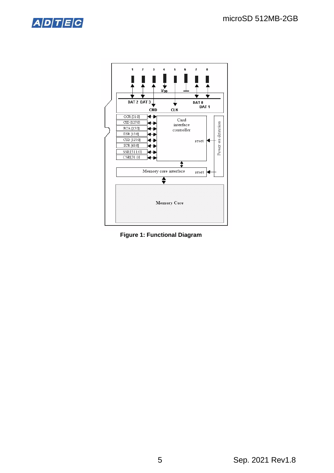



**Figure 1: Functional Diagram**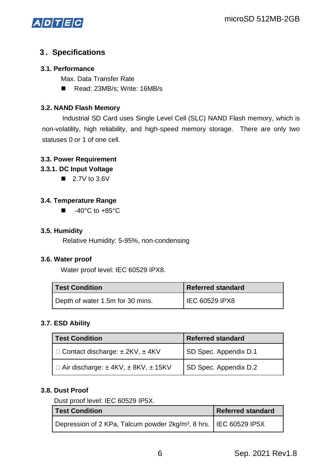

#### **3 . Specifications**

#### **3.1. Performance**

Max. Data Transfer Rate

■ Read: 23MB/s; Write: 16MB/s

#### **3.2. NAND Flash Memory**

Industrial SD Card uses Single Level Cell (SLC) NAND Flash memory, which is non-volatility, high reliability, and high-speed memory storage. There are only two statuses 0 or 1 of one cell.

#### **3.3. Power Requirement**

#### **3.3.1. DC Input Voltage**

 $\blacksquare$  2.7V to 3.6V

#### **3.4. Temperature Range**

 $\blacksquare$  -40°C to +85°C

#### **3.5. Humidity**

Relative Humidity: 5-95%, non-condensing

#### **3.6. Water proof**

Water proof level: IEC 60529 IPX8.

| <b>Test Condition</b>            | Referred standard |  |  |
|----------------------------------|-------------------|--|--|
| Depth of water 1.5m for 30 mins. | IEC 60529 IPX8    |  |  |

#### **3.7. ESD Ability**

| <b>Test Condition</b>                                  | <b>Referred standard</b> |  |  |
|--------------------------------------------------------|--------------------------|--|--|
| $\Box$ Contact discharge: $\pm$ 2KV, $\pm$ 4KV         | SD Spec. Appendix D.1    |  |  |
| $\Box$ Air discharge: $\pm$ 4KV, $\pm$ 8KV, $\pm$ 15KV | SD Spec. Appendix D.2    |  |  |

#### **3.8. Dust Proof**

Dust proof level: IEC 60529 IP5X.

| <b>Test Condition</b>                                                           | <b>Referred standard</b> |
|---------------------------------------------------------------------------------|--------------------------|
| Depression of 2 KPa, Talcum powder 2kg/m <sup>3</sup> , 8 hrs. I IEC 60529 IP5X |                          |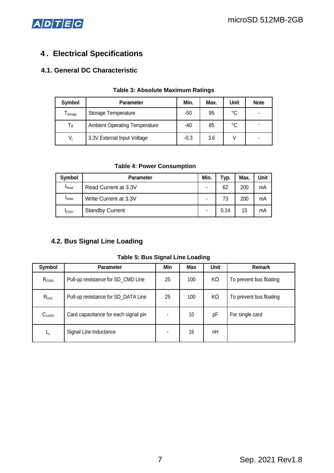

## **4 . Electrical Specifications**

#### **4.1. General DC Characteristic**

| Symbol  | <b>Parameter</b>                     | Min.   | Max. | Unit | <b>Note</b> |
|---------|--------------------------------------|--------|------|------|-------------|
| storage | Storage Temperature                  | -50    | 95   | °C   |             |
| Ta      | <b>Ambient Operating Temperature</b> | -40    | 85   | °C   |             |
| $V_{1}$ | 3.3V External Input Voltage          | $-0.3$ | 3.6  |      |             |

#### **Table 3: Absolute Maximum Ratings**

#### **Table 4: Power Consumption**

| Symbol         | <b>Parameter</b>       | Min. | Typ. | Max. | Unit |
|----------------|------------------------|------|------|------|------|
| <b>I</b> Read  | Read Current at 3.3V   | ۰    | 62   | 200  | mA   |
| <b>I</b> Write | Write Current at 3.3V  | ۰    | 73   | 200  | mA   |
| <b>ISTBY</b>   | <b>Standby Current</b> | ۰    | 0.14 | 15   | mA   |

#### **4.2. Bus Signal Line Loading**

#### **Table 5: Bus Signal Line Loading**

| Symbol            | <b>Parameter</b>                     | Min | <b>Max</b> | Unit | Remark                  |
|-------------------|--------------------------------------|-----|------------|------|-------------------------|
| R <sub>CMD</sub>  | Pull-up resistance for SD_CMD Line   | 25  | 100        | KΩ   | To prevent bus floating |
| $R_{\text{DAT}}$  | Pull-up resistance for SD_DATA Line  | 25  | 100        | KΩ   | To prevent bus floating |
| $C_{\text{CARD}}$ | Card capacitance for each signal pin |     | 10         | рF   | For single card         |
| L <sub>L</sub>    | Signal Line Inductance               |     | 16         | nH   |                         |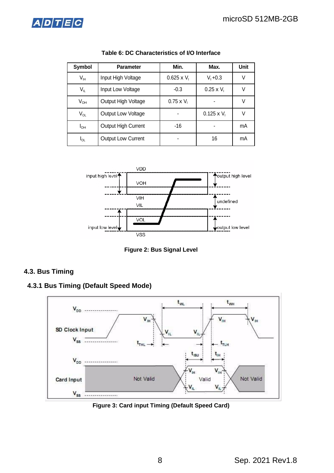

| Symbol                     | <b>Parameter</b>    | Min.               | Max.               | Unit |
|----------------------------|---------------------|--------------------|--------------------|------|
| $V_{\text{IH}}$            | Input High Voltage  | $0.625 \times V_1$ | $V_1 + 0.3$        | ٧    |
| $\mathsf{V}_{\mathsf{IL}}$ | Input Low Voltage   | $-0.3$             | $0.25 \times V_1$  | V    |
| $V_{OH}$                   | Output High Voltage | $0.75 \times V_1$  |                    | V    |
| $V_{OL}$                   | Output Low Voltage  |                    | $0.125 \times V_1$ | V    |
| I <sub>ОН</sub>            | Output High Current | -16                | ۰                  | mA   |
| IoL                        | Output Low Current  |                    | 16                 | mA   |

**Table 6: DC Characteristics of I/O Interface**



**Figure 2: Bus Signal Level**

#### **4.3. Bus Timing**



**4.3.1 Bus Timing (Default Speed Mode)** 

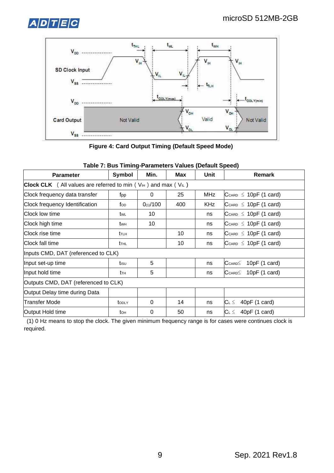



**Figure 4: Card Output Timing (Default Speed Mode)**

| <b>Parameter</b>                                                                                | Symbol                               | Min.     | <b>Max</b> | Unit       | <b>Remark</b>                            |  |  |
|-------------------------------------------------------------------------------------------------|--------------------------------------|----------|------------|------------|------------------------------------------|--|--|
| <b>Clock CLK</b> (All values are referred to min ( $V_{\text{H}}$ ) and max ( $V_{\text{IL}}$ ) |                                      |          |            |            |                                          |  |  |
| Clock frequency data transfer                                                                   | fpp                                  | 0        | 25         | <b>MHz</b> | $C_{CARD} \leq 10pF (1 card)$            |  |  |
| Clock frequency Identification                                                                  | fop                                  | 0(1)/100 | 400        | <b>KHz</b> | $C_{CARD} \leq 10pF (1 card)$            |  |  |
| Clock low time                                                                                  | twl                                  | 10       |            | ns         | $C_{CARD} \leq 10pF (1 card)$            |  |  |
| Clock high time                                                                                 | <b>t</b> w <sub>H</sub>              | 10       |            | ns         | $C_{CARD} \leq 10pF (1 card)$            |  |  |
| Clock rise time                                                                                 | t <sub>th</sub>                      |          | 10         | ns         | $C_{CARD} \leq 10pF (1 card)$            |  |  |
| Clock fall time                                                                                 | <b>t</b> THL                         |          | 10         | ns         | $C_{CARD} \leq 10pF (1 card)$            |  |  |
| Inputs CMD, DAT (referenced to CLK)                                                             |                                      |          |            |            |                                          |  |  |
| Input set-up time                                                                               | tisu                                 | 5        |            | ns         | 10pF (1 card)<br>$C_{CARD} \leq$         |  |  |
| Input hold time                                                                                 | tтн                                  | 5        |            | ns         | 10pF(1 card)<br>$\mathsf{C}$ card $\leq$ |  |  |
|                                                                                                 | Outputs CMD, DAT (referenced to CLK) |          |            |            |                                          |  |  |
| Output Delay time during Data                                                                   |                                      |          |            |            |                                          |  |  |
| <b>Transfer Mode</b>                                                                            | toply                                | 0        | 14         | ns         | 40pF (1 card)<br>$C_L \leq$              |  |  |
| Output Hold time                                                                                | to <sub>H</sub>                      | 0        | 50         | ns         | $ C_L \leq 40pF (1 card)$                |  |  |

#### **Table 7: Bus Timing-Parameters Values (Default Speed)**

(1) 0 Hz means to stop the clock. The given minimum frequency range is for cases were continues clock is required.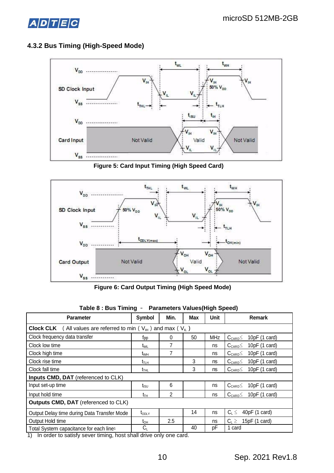



#### **4.3.2 Bus Timing (High-Speed Mode)**

**Figure 5: Card Input Timing (High Speed Card)** 



**Figure 6: Card Output Timing (High Speed Mode)** 

| <b>Parameter</b>                                                                                                               | Symbol           | Min.   | <b>Max</b> | <b>Unit</b> | Remark                                              |  |  |
|--------------------------------------------------------------------------------------------------------------------------------|------------------|--------|------------|-------------|-----------------------------------------------------|--|--|
| <b>Clock CLK</b> (All values are referred to min $(V_{H})$ and max $(V_{L})$                                                   |                  |        |            |             |                                                     |  |  |
| Clock frequency data transfer                                                                                                  | fpp              | 0      | 50         | <b>MHz</b>  | 10pF (1 card)<br>$C_{\text{CARD}} \leq$             |  |  |
| Clock low time                                                                                                                 | t <sub>wL</sub>  | 7      |            | ns          | 10pF (1 card)<br>$\rm C_{\tiny{CARD}}$              |  |  |
| Clock high time                                                                                                                | t <sub>wH</sub>  | 7      |            | ns          | 10 $pF(1 \text{ card})$<br>$C_{\text{CARD}} \leq$   |  |  |
| Clock rise time                                                                                                                | t <sub>т∟н</sub> |        | 3          | ns          | 10pF (1 card)<br>$C_{\text{CARD}} \leq$             |  |  |
| Clock fall time                                                                                                                | $t_{THL}$        |        | 3          | ns          | 10 $pF(1 \text{ card})$<br>$C_{\mathsf{CARD}} \leq$ |  |  |
| Inputs CMD, DAT (referenced to CLK)                                                                                            |                  |        |            |             |                                                     |  |  |
| Input set-up time                                                                                                              | t <sub>isu</sub> | 6      |            | ns          | 10pF (1 card)<br>$C_{\texttt{CARD}} \leq$           |  |  |
| Input hold time                                                                                                                | $t_{TH}$         | 2      |            | ns          | $C_{CARD} \leq 10pF (1 card)$                       |  |  |
| Outputs CMD, DAT (referenced to CLK)                                                                                           |                  |        |            |             |                                                     |  |  |
| Output Delay time during Data Transfer Mode                                                                                    | $t_{ODLY}$       |        | 14         | ns          | 40pF (1 card)<br>$C_L \leq$                         |  |  |
| Output Hold time                                                                                                               | $t_{\text{OH}}$  | 2.5    |            | ns          | 15pF (1 card)<br>$C_{\text{L}} \geq$                |  |  |
| Total System capacitance for each line <sup>1</sup><br>$\overline{A}$ , be codents estimated according to a boot should duties | $C_L$            | - L. - | 40         | рF          | 1 card                                              |  |  |

| Table 8 : Bus Timing -<br><b>Parameters Values (High Speed)</b> |
|-----------------------------------------------------------------|
|-----------------------------------------------------------------|

1) In order to satisfy sever timing, host shall drive only one card.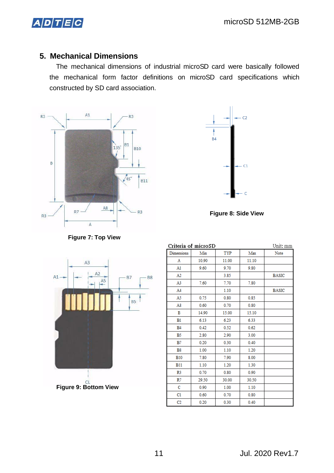## $A/D$  $T$  $E$  $C$

## **5. Mechanical Dimensions**

The mechanical dimensions of industrial microSD card were basically followed the mechanical form factor definitions on microSD card specifications which constructed by SD card association.





**Figure 8: Side View** 



| Criteria of microSD | Unit: mm |       |       |              |
|---------------------|----------|-------|-------|--------------|
| Dimensions          | Min      | TYP   | Max   | Note         |
| Α                   | 10.90    | 11.00 | 11.10 |              |
| A1                  | 9.60     | 9.70  | 9.80  |              |
| A2                  |          | 3.85  |       | <b>BASIC</b> |
| A3                  | 7.60     | 7.70  | 7.80  |              |
| A4                  |          | 1.10  |       | <b>BASIC</b> |
| A5                  | 0.75     | 0.80  | 0.85  |              |
| A8                  | 0.60     | 0.70  | 0.80  |              |
| в                   | 14.90    | 15.00 | 15.10 |              |
| B1                  | 6.13     | 6.23  | 6.33  |              |
| <b>B4</b>           | 0.42     | 0.52  | 0.62  |              |
| B <sub>5</sub>      | 2.80     | 2.90  | 3.00  |              |
| B7                  | 0.20     | 0.30  | 0.40  |              |
| <b>B8</b>           | 1.00     | 1.10  | 1.20  |              |
| <b>B10</b>          | 7.80     | 7.90  | 8.00  |              |
| <b>B11</b>          | 1.10     | 1.20  | 1.30  |              |
| R3                  | 0.70     | 0.80  | 0.90  |              |
| R7                  | 29.50    | 30.00 | 30.50 |              |
| с                   | 0.90     | 1.00  | 1.10  |              |
| C1                  | 0.60     | 0.70  | 0.80  |              |
| C2                  | 0.20     | 0.30  | 0.40  |              |